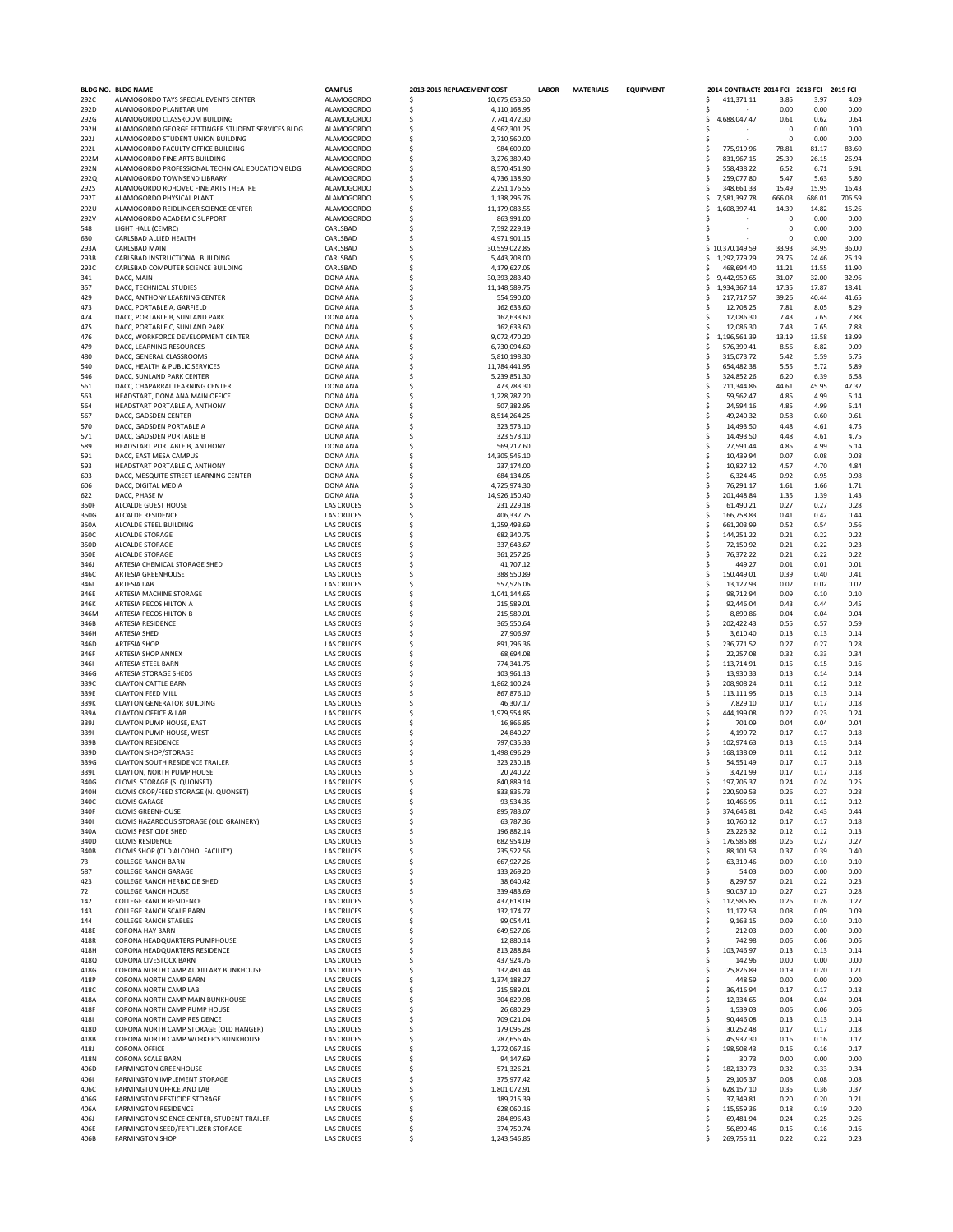|              | BLDG NO. BLDG NAME                                                | <b>CAMPUS</b>                          | 2013-2015 REPLACEMENT COST               | <b>LABOR</b><br><b>MATERIALS</b> | <b>EQUIPMENT</b> | 2014 CONTRACT: 2014 FCI 2018 FCI |                   |                 | 2019 FCI        |
|--------------|-------------------------------------------------------------------|----------------------------------------|------------------------------------------|----------------------------------|------------------|----------------------------------|-------------------|-----------------|-----------------|
| 292C         | ALAMOGORDO TAYS SPECIAL EVENTS CENTER                             | <b>ALAMOGORDO</b>                      | Ŝ<br>10.675.653.50                       |                                  |                  | 411,371.11<br>.s                 | 3.85              | 3.97            | 4.09            |
| 292D         | ALAMOGORDO PLANETARIUM                                            | <b>ALAMOGORDO</b>                      | \$<br>4,110,168.95                       |                                  |                  |                                  | 0.00              | 0.00            | 0.00            |
| 292G         | ALAMOGORDO CLASSROOM BUILDING                                     | <b>ALAMOGORDO</b>                      | \$<br>7,741,472.30                       |                                  |                  | 4,688,047.47<br>Ŝ                | 0.61              | 0.62            | 0.64            |
| 292H         | ALAMOGORDO GEORGE FETTINGER STUDENT SERVICES BLDG.                | <b>ALAMOGORDO</b>                      | Ś<br>4,962,301.25                        |                                  |                  | .s                               | $\mathbf 0$       | 0.00            | 0.00            |
| 292J         | ALAMOGORDO STUDENT UNION BUILDING                                 | <b>ALAMOGORDO</b>                      | \$<br>2,710,560.00                       |                                  |                  | .s                               | $\Omega$          | 0.00            | 0.00            |
| 292L         | ALAMOGORDO FACULTY OFFICE BUILDING                                | <b>ALAMOGORDO</b>                      | \$<br>984,600.00                         |                                  |                  | Ŝ<br>775,919.96                  | 78.81             | 81.17           | 83.60           |
| 292M         | ALAMOGORDO FINE ARTS BUILDING                                     | <b>ALAMOGORDO</b>                      | \$<br>3,276,389.40                       |                                  |                  | 831,967.15<br>Ŝ                  | 25.39             | 26.15           | 26.94           |
| 292N         | ALAMOGORDO PROFESSIONAL TECHNICAL EDUCATION BLDG                  | <b>ALAMOGORDO</b>                      | \$<br>8,570,451.90                       |                                  |                  | 558,438.22                       | 6.52              | 6.71            | 6.91            |
| 2920         | ALAMOGORDO TOWNSEND LIBRARY                                       | ALAMOGORDO                             | \$<br>4,736,138.90                       |                                  |                  | 259,077.80                       | 5.47              | 5.63            | 5.80            |
| <b>292S</b>  | ALAMOGORDO ROHOVEC FINE ARTS THEATRE                              | <b>ALAMOGORDO</b>                      | \$<br>2,251,176.55                       |                                  |                  | 348,661.33                       | 15.49             | 15.95           | 16.43           |
| 292T<br>292U | ALAMOGORDO PHYSICAL PLANT<br>ALAMOGORDO REIDLINGER SCIENCE CENTER | <b>ALAMOGORDO</b><br><b>ALAMOGORDO</b> | \$<br>1,138,295.76<br>Ś<br>11,179,083.55 |                                  |                  | 7,581,397.78<br>Ŝ                | 666.03            | 686.01<br>14.82 | 706.59<br>15.26 |
| 292V         | ALAMOGORDO ACADEMIC SUPPORT                                       | ALAMOGORDO                             | Ś                                        |                                  |                  | 1,608,397.41<br>.s               | 14.39<br>$\Omega$ |                 | 0.00            |
| 548          | LIGHT HALL (CEMRC)                                                | CARLSBAD                               | 863,991.00<br>\$<br>7,592,229.19         |                                  |                  | Ŝ                                | $\mathbf{0}$      | 0.00<br>0.00    | 0.00            |
| 630          | CARLSBAD ALLIED HEALTH                                            | CARLSBAD                               | \$<br>4,971,901.15                       |                                  |                  | Ŝ                                | $\mathbf 0$       | 0.00            | 0.00            |
| 293A         | <b>CARLSBAD MAIN</b>                                              | CARLSBAD                               | \$<br>30,559,022.85                      |                                  |                  | \$10,370,149.59                  | 33.93             | 34.95           | 36.00           |
| 293B         | CARLSBAD INSTRUCTIONAL BUILDING                                   | CARLSBAD                               | \$<br>5,443,708.00                       |                                  |                  | 1,292,779.29<br>s                | 23.75             | 24.46           | 25.19           |
| 293C         | CARLSBAD COMPUTER SCIENCE BUILDING                                | CARLSBAD                               | \$<br>4,179,627.05                       |                                  |                  | 468,694.40                       | 11.21             | 11.55           | 11.90           |
| 341          | DACC. MAIN                                                        | DONA ANA                               | \$<br>30,393,283.40                      |                                  |                  | 9,442,959.65                     | 31.07             | 32.00           | 32.96           |
| 357          | DACC. TECHNICAL STUDIES                                           | <b>DONA ANA</b>                        | Ś<br>11,148,589.75                       |                                  |                  | 1,934,367.14<br>s.               | 17.35             | 17.87           | 18.41           |
| 429          | DACC, ANTHONY LEARNING CENTER                                     | DONA ANA                               | Ś<br>554,590.00                          |                                  |                  | 217,717.57<br>.s                 | 39.26             | 40.44           | 41.65           |
| 473          | DACC, PORTABLE A, GARFIELD                                        | DONA ANA                               | \$<br>162,633.60                         |                                  |                  | 12,708.25<br>.s                  | 7.81              | 8.05            | 8.29            |
| 474          | DACC, PORTABLE B, SUNLAND PARK                                    | DONA ANA                               | \$<br>162,633.60                         |                                  |                  | 12,086.30                        | 7.43              | 7.65            | 7.88            |
| 475          | DACC, PORTABLE C, SUNLAND PARK                                    | <b>DONA ANA</b>                        | Ś<br>162.633.60                          |                                  |                  | 12,086.30<br>.s                  | 7.43              | 7.65            | 7.88            |
| 476          | DACC. WORKFORCE DEVELOPMENT CENTER                                | <b>DONA ANA</b>                        | \$<br>9,072,470.20                       |                                  |                  | 1,196,561.39<br>.s               | 13.19             | 13.58           | 13.99           |
| 479          | DACC, LEARNING RESOURCES                                          | DONA ANA                               | \$<br>6,730,094.60                       |                                  |                  | 576,399.41                       | 8.56              | 8.82            | 9.09            |
| 480          | DACC, GENERAL CLASSROOMS                                          | DONA ANA                               | \$<br>5,810,198.30                       |                                  |                  | 315,073.72                       | 5.42              | 5.59            | 5.75            |
| 540          | DACC, HEALTH & PUBLIC SERVICES                                    | <b>DONA ANA</b>                        | Ś<br>11,784,441.95                       |                                  |                  | 654,482.38<br>Ŝ                  | 5.55              | 5.72            | 5.89            |
| 546          | DACC. SUNLAND PARK CENTER                                         | DONA ANA                               | Ś<br>5,239,851.30                        |                                  |                  | 324,852.26<br>.s                 | 6.20              | 6.39            | 6.58            |
| 561          | DACC, CHAPARRAL LEARNING CENTER                                   | DONA ANA                               | Ŝ<br>473,783.30                          |                                  |                  | 211,344.86<br>.s                 | 44.61             | 45.95           | 47.32           |
| 563          | HEADSTART, DONA ANA MAIN OFFICE                                   | DONA ANA                               | \$<br>1,228,787.20                       |                                  |                  | 59,562.47<br>.s                  | 4.85              | 4.99            | 5.14            |
| 564          | HEADSTART PORTABLE A, ANTHONY                                     | DONA ANA                               | \$<br>507,382.95                         |                                  |                  | Ŝ<br>24,594.16                   | 4.85              | 4.99            | 5.14            |
| 567          | DACC, GADSDEN CENTER                                              | DONA ANA                               | Ś<br>8.514.264.25                        |                                  |                  | 49.240.32<br>Ŝ                   | 0.58              | 0.60            | 0.61            |
| 570          | DACC, GADSDEN PORTABLE A                                          | DONA ANA                               | \$<br>323,573.10                         |                                  |                  | 14,493.50<br>.s                  | 4.48              | 4.61            | 4.75            |
| 571          | DACC, GADSDEN PORTABLE B                                          | DONA ANA                               | \$<br>323,573.10                         |                                  |                  | 14,493.50<br>.s                  | 4.48              | 4.61            | 4.75            |
| 589          | HEADSTART PORTABLE B, ANTHONY                                     | DONA ANA                               | \$<br>569,217.60                         |                                  |                  | Ŝ<br>27,591.44                   | 4.85              | 4.99            | 5.14            |
| 591          | DACC, EAST MESA CAMPUS                                            | <b>DONA ANA</b>                        | Ś<br>14,305,545.10                       |                                  |                  | 10.439.94<br>Ŝ                   | 0.07              | 0.08            | 0.08            |
| 593          | HEADSTART PORTABLE C, ANTHONY                                     | DONA ANA                               | Ś<br>237,174.00                          |                                  |                  | 10,827.12<br>.s                  | 4.57              | 4.70            | 4.84            |
| 603          | DACC, MESQUITE STREET LEARNING CENTER                             | DONA ANA                               | \$<br>684,134.05                         |                                  |                  | 6,324.45<br>.s                   | 0.92              | 0.95            | 0.98            |
| 606          | DACC, DIGITAL MEDIA                                               | DONA ANA                               | \$<br>4,725,974.30                       |                                  |                  | 76,291.17                        | 1.61              | 1.66            | 1.71            |
| 622          | DACC, PHASE IV                                                    | <b>DONA ANA</b>                        | Ś<br>14,926,150.40                       |                                  |                  | 201.448.84<br>.s                 | 1.35              | 1.39            | 1.43            |
| 350F         | ALCALDE GUEST HOUSE                                               | <b>LAS CRUCES</b>                      | \$<br>231,229.18                         |                                  |                  | 61,490.21                        | 0.27              | 0.27            | 0.28            |
| 350G         | ALCALDE RESIDENCE                                                 | <b>LAS CRUCES</b>                      | \$<br>406,337.75                         |                                  |                  | 166,758.83                       | 0.41              | 0.42            | 0.44            |
| 350A         | ALCALDE STEEL BUILDING                                            | <b>LAS CRUCES</b>                      | \$<br>1,259,493.69                       |                                  |                  | Ŝ<br>661,203.99                  | 0.52              | 0.54            | 0.56            |
| 350C         | ALCALDE STORAGE                                                   | <b>LAS CRUCES</b>                      | Ś<br>682.340.75                          |                                  |                  | 144,251.22<br>Ŝ                  | 0.21              | 0.22            | 0.22            |
| 350D         | ALCALDE STORAGE                                                   | <b>LAS CRUCES</b>                      | \$<br>337,643.67                         |                                  |                  | 72,150.92<br>.s                  | 0.21              | 0.22            | 0.23            |
| 350E         | ALCALDE STORAGE                                                   | <b>LAS CRUCES</b>                      | \$<br>361,257.26                         |                                  |                  | 76,372.22<br>.s                  | 0.21              | 0.22            | 0.22            |
| 346J         | ARTESIA CHEMICAL STORAGE SHED                                     | <b>LAS CRUCES</b>                      | \$<br>41,707.12                          |                                  |                  | Ŝ<br>449.27                      | 0.01              | 0.01            | 0.01            |
| 346C         | ARTESIA GREENHOUSE                                                | <b>LAS CRUCES</b>                      | Ś<br>388,550.89                          |                                  |                  | 150,449.01<br>Ŝ                  | 0.39              | 0.40            | 0.41            |
| 346L         | <b>ARTESIA LAB</b>                                                | <b>LAS CRUCES</b>                      | \$<br>557,526.06                         |                                  |                  | 13,127.93<br>.s                  | 0.02              | 0.02            | 0.02            |
| 346E         | ARTESIA MACHINE STORAGE                                           | <b>LAS CRUCES</b>                      | \$<br>1,041,144.65                       |                                  |                  | 98,712.94                        | 0.09              | 0.10            | 0.10            |
| 346K         | ARTESIA PECOS HILTON A                                            | <b>LAS CRUCES</b>                      | \$<br>215,589.01                         |                                  |                  | 92.446.04                        | 0.43              | 0.44            | 0.45            |
| 346M         | ARTESIA PECOS HILTON B                                            | <b>LAS CRUCES</b>                      | Ś<br>215,589.01                          |                                  |                  | 8,890.86<br>Ŝ                    | 0.04              | 0.04            | 0.04            |
| 346B         | ARTESIA RESIDENCE                                                 | <b>LAS CRUCES</b>                      | \$<br>365,550.64                         |                                  |                  | 202,422.43<br>.s                 | 0.55              | 0.57            | 0.59            |
| 346H         | ARTESIA SHED                                                      | <b>LAS CRUCES</b>                      | \$<br>27,906.97                          |                                  |                  | 3,610.40<br>.s                   | 0.13              | 0.13            | 0.14            |
| 346D         | <b>ARTESIA SHOP</b>                                               | <b>LAS CRUCES</b>                      | \$<br>891,796.36                         |                                  |                  | 236,771.52<br>Ŝ                  | 0.27              | 0.27            | 0.28            |
| 346F         | ARTESIA SHOP ANNEX                                                | <b>LAS CRUCES</b>                      | Ś<br>68.694.08                           |                                  |                  | 22,257.08<br>Ŝ                   | 0.32              | 0.33            | 0.34            |
| 3461         | ARTESIA STEEL BARN                                                | <b>LAS CRUCES</b>                      | \$<br>774,341.75                         |                                  |                  | 113,714.91                       | 0.15              | 0.15            | 0.16            |
| 346G         | ARTESIA STORAGE SHEDS                                             | <b>LAS CRUCES</b>                      | \$<br>103,961.13                         |                                  |                  | 13,930.33                        | 0.13              | 0.14            | 0.14            |
| 339C         | CLAYTON CATTLE BARN                                               | <b>LAS CRUCES</b>                      | \$<br>1,862,100.24                       |                                  |                  | Ŝ<br>208.908.24                  | 0.11              | 0.12            | 0.12            |
| 339E         | <b>CLAYTON FEED MILL</b>                                          | <b>LAS CRUCES</b>                      | Ś<br>867,876.10                          |                                  |                  | 113.111.95<br>Ŝ                  | 0.13              | 0.13            | 0.14            |
| 339K         | <b>CLAYTON GENERATOR BUILDING</b>                                 | <b>LAS CRUCES</b>                      | Ś<br>46,307.17                           |                                  |                  | Ŝ<br>7,829.10                    | 0.17              | 0.17            | 0.18            |
| 339A         | CLAYTON OFFICE & LAB                                              | <b>LAS CRUCES</b>                      | \$<br>1,979,554.85                       |                                  |                  | 444,199.08<br>.s                 | 0.22              | 0.23            | 0.24            |
| 339J         | CLAYTON PUMP HOUSE, EAST                                          | <b>LAS CRUCES</b>                      | \$<br>16,866.85                          |                                  |                  | 701.09                           | 0.04              | 0.04            | 0.04            |
| 3391         | CLAYTON PUMP HOUSE, WEST                                          | <b>LAS CRUCES</b>                      | \$<br>24,840.27                          |                                  |                  | 4,199.72                         | 0.17              | 0.17            | 0.18            |
| 339B         | <b>CLAYTON RESIDENCE</b>                                          | <b>LAS CRUCES</b>                      | Ś<br>797.035.33                          |                                  |                  | 102.974.63<br>-S                 | 0.13              | 0.13            | 0.14            |
| 339D         | <b>CLAYTON SHOP/STORAGE</b>                                       | <b>LAS CRUCES</b>                      | Ŝ<br>1,498,696.29                        |                                  |                  | 168,138.09                       | 0.11              | 0.12            | 0.12            |
| 339G         | CLAYTON SOUTH RESIDENCE TRAILER                                   | <b>LAS CRUCES</b>                      | Ŝ<br>323,230.18                          |                                  |                  | 54,551.49                        | 0.17              | 0.17            | 0.18            |
| 339L         | CLAYTON, NORTH PUMP HOUSE                                         | <b>LAS CRUCES</b>                      | 20,240.22                                |                                  |                  | 3,421.99                         | 0.17              | 0.17            | 0.18            |
| 340G         | CLOVIS STORAGE (S. QUONSET)                                       | LAS CRUCES                             | 5<br>840,889.14                          |                                  |                  | 197.705.37                       | 0.24              | 0.24            | 0.25            |
| 340H         | CLOVIS CROP/FEED STORAGE (N. QUONSET)                             | <b>LAS CRUCES</b>                      | \$<br>833,835.73                         |                                  |                  | 220,509.53<br>s.                 | 0.26              | 0.27            | 0.28            |
| 340C         | <b>CLOVIS GARAGE</b>                                              | <b>LAS CRUCES</b>                      | \$<br>93,534.35                          |                                  |                  | 10,466.95<br>.s                  | 0.11              | 0.12            | 0.12            |
| 340F         | <b>CLOVIS GREENHOUSE</b>                                          | <b>LAS CRUCES</b>                      | \$<br>895,783.07                         |                                  |                  | 374,645.81                       | 0.42              | 0.43            | 0.44            |
| 340          | CLOVIS HAZARDOUS STORAGE (OLD GRAINERY)                           | <b>LAS CRUCES</b>                      | \$<br>63,787.36                          |                                  |                  | 10,760.12<br>.s                  | 0.17              | 0.17            | 0.18            |
| 340A         | <b>CLOVIS PESTICIDE SHED</b>                                      | <b>LAS CRUCES</b>                      | \$<br>196,882.14<br>682,954.09           |                                  |                  | 23,226.32                        | 0.12              | 0.12            | 0.13            |
| 340D         | <b>CLOVIS RESIDENCE</b><br>CLOVIS SHOP (OLD ALCOHOL FACILITY)     | <b>LAS CRUCES</b><br><b>LAS CRUCES</b> | \$<br>235,522.56                         |                                  |                  | 176,585.88<br>Ŝ<br>88,101.53     | 0.26<br>0.37      | 0.27            | 0.27            |
| 340B<br>73   | <b>COLLEGE RANCH BARN</b>                                         | <b>LAS CRUCES</b>                      | \$<br>Ś<br>667,927.26                    |                                  |                  | 63,319.46<br>Ŝ                   | 0.09              | 0.39<br>0.10    | 0.40<br>0.10    |
| 587          | COLLEGE RANCH GARAGE                                              | <b>LAS CRUCES</b>                      | \$<br>133,269.20                         |                                  |                  | .s<br>54.03                      | 0.00              | 0.00            | 0.00            |
| 423          | COLLEGE RANCH HERBICIDE SHED                                      | <b>LAS CRUCES</b>                      | \$<br>38,640.42                          |                                  |                  | Ŝ<br>8,297.57                    | 0.21              | 0.22            | 0.23            |
| 72           | <b>COLLEGE RANCH HOUSE</b>                                        | <b>LAS CRUCES</b>                      | \$<br>339,483.69                         |                                  |                  | Ŝ<br>90,037.10                   | 0.27              | 0.27            | 0.28            |
| 142          | COLLEGE RANCH RESIDENCE                                           | <b>LAS CRUCES</b>                      | \$<br>437,618.09                         |                                  |                  | 112,585.85<br>.s                 | 0.26              | 0.26            | 0.27            |
| 143          | COLLEGE RANCH SCALE BARN                                          | <b>LAS CRUCES</b>                      | \$<br>132,174.77                         |                                  |                  | 11,172.53<br>.s                  | 0.08              | 0.09            | 0.09            |
| 144          | <b>COLLEGE RANCH STABLES</b>                                      | <b>LAS CRUCES</b>                      | \$<br>99,054.41                          |                                  |                  | 9,163.15                         | 0.09              | 0.10            | 0.10            |
| 418E         | <b>CORONA HAY BARN</b>                                            | <b>LAS CRUCES</b>                      | \$<br>649,527.06                         |                                  |                  | 212.03<br>.s                     | 0.00              | 0.00            | 0.00            |
| 418R         | CORONA HEADQUARTERS PUMPHOUSE                                     | <b>LAS CRUCES</b>                      | Ś<br>12,880.14                           |                                  |                  | 742.98<br>Ŝ                      | 0.06              | 0.06            | 0.06            |
| 418H         | CORONA HEADQUARTERS RESIDENCE                                     | <b>LAS CRUCES</b>                      | \$<br>813,288.84                         |                                  |                  | \$.<br>103,746.97                | 0.13              | 0.13            | 0.14            |
| 418Q         | CORONA LIVESTOCK BARN                                             | <b>LAS CRUCES</b>                      | \$<br>437,924.76                         |                                  |                  | \$.<br>142.96                    | 0.00              | 0.00            | 0.00            |
| 418G         | CORONA NORTH CAMP AUXILLARY BUNKHOUSE                             | <b>LAS CRUCES</b>                      | \$<br>132,481.44                         |                                  |                  | Ŝ<br>25,826.89                   | 0.19              | 0.20            | 0.21            |
| 418P         | CORONA NORTH CAMP BARN                                            | <b>LAS CRUCES</b>                      | \$<br>1,374,188.27                       |                                  |                  | 448.59<br>.s                     | 0.00              | 0.00            | 0.00            |
| 418C         | CORONA NORTH CAMP LAB                                             | <b>LAS CRUCES</b>                      | \$<br>215,589.01                         |                                  |                  | .s<br>36,416.94                  | 0.17              | 0.17            | 0.18            |
| 418A         | CORONA NORTH CAMP MAIN BUNKHOUSE                                  | <b>LAS CRUCES</b>                      | \$<br>304,829.98                         |                                  |                  | 12,334.65                        | 0.04              | 0.04            | 0.04            |
| 418F         | CORONA NORTH CAMP PUMP HOUSE                                      | <b>LAS CRUCES</b>                      | \$<br>26,680.29                          |                                  |                  | 1,539.03                         | 0.06              | 0.06            | 0.06            |
| 4181         | CORONA NORTH CAMP RESIDENCE                                       | <b>LAS CRUCES</b>                      | \$<br>709,021.04                         |                                  |                  | 90,446.08                        | 0.13              | 0.13            | 0.14            |
| 418D         | CORONA NORTH CAMP STORAGE (OLD HANGER)                            | <b>LAS CRUCES</b>                      | Ś<br>179,095.28                          |                                  |                  | 30,252.48<br>Ŝ                   | 0.17              | 0.17            | 0.18            |
| 418B         | CORONA NORTH CAMP WORKER'S BUNKHOUSE                              | <b>LAS CRUCES</b>                      | \$<br>287,656.46                         |                                  |                  | 45,937.30<br>.s                  | 0.16              | 0.16            | 0.17            |
| 418J         | <b>CORONA OFFICE</b>                                              | <b>LAS CRUCES</b>                      | \$<br>1,272,067.16                       |                                  |                  | 198,508.43<br>.s                 | 0.16              | 0.16            | 0.17            |
| 418N         | CORONA SCALE BARN                                                 | <b>LAS CRUCES</b>                      | \$<br>94,147.69                          |                                  |                  | Ŝ<br>30.73                       | 0.00              | 0.00            | 0.00            |
| 406D         | <b>FARMINGTON GREENHOUSE</b>                                      | <b>LAS CRUCES</b>                      | 571,326.21<br>\$                         |                                  |                  | 182,139.73<br>.s                 | 0.32              | 0.33            | 0.34            |
| 4061         | FARMINGTON IMPLEMENT STORAGE                                      | <b>LAS CRUCES</b>                      | \$<br>375,977.42                         |                                  |                  | 29,105.37<br>.s                  | 0.08              | 0.08            | 0.08            |
| 406C         | FARMINGTON OFFICE AND LAB                                         | <b>LAS CRUCES</b>                      | \$<br>1,801,072.91                       |                                  |                  | 628,157.10                       | 0.35              | 0.36            | 0.37            |
| 406G         | FARMINGTON PESTICIDE STORAGE                                      | <b>LAS CRUCES</b>                      | \$<br>189,215.39                         |                                  |                  | 37,349.81                        | 0.20              | 0.20            | 0.21            |
| 406A         | <b>FARMINGTON RESIDENCE</b>                                       | <b>LAS CRUCES</b>                      | 628,060.16<br>Ŝ                          |                                  |                  | 115,559.36<br>.s                 | 0.18              | 0.19            | 0.20            |
| 406J         | FARMINGTON SCIENCE CENTER, STUDENT TRAILER                        | <b>LAS CRUCES</b>                      | Ŝ<br>284,896.43                          |                                  |                  | 69,481.94                        | 0.24              | 0.25            | 0.26            |
| 406E         | FARMINGTON SEED/FERTILIZER STORAGE                                | <b>LAS CRUCES</b>                      | \$<br>374,750.74                         |                                  |                  | 56,899.46                        | 0.15              | 0.16            | 0.16            |
| 406B         | <b>FARMINGTON SHOP</b>                                            | <b>LAS CRUCES</b>                      | \$<br>1,243,546.85                       |                                  |                  | Ś<br>269,755.11                  | 0.22              | 0.22            | 0.23            |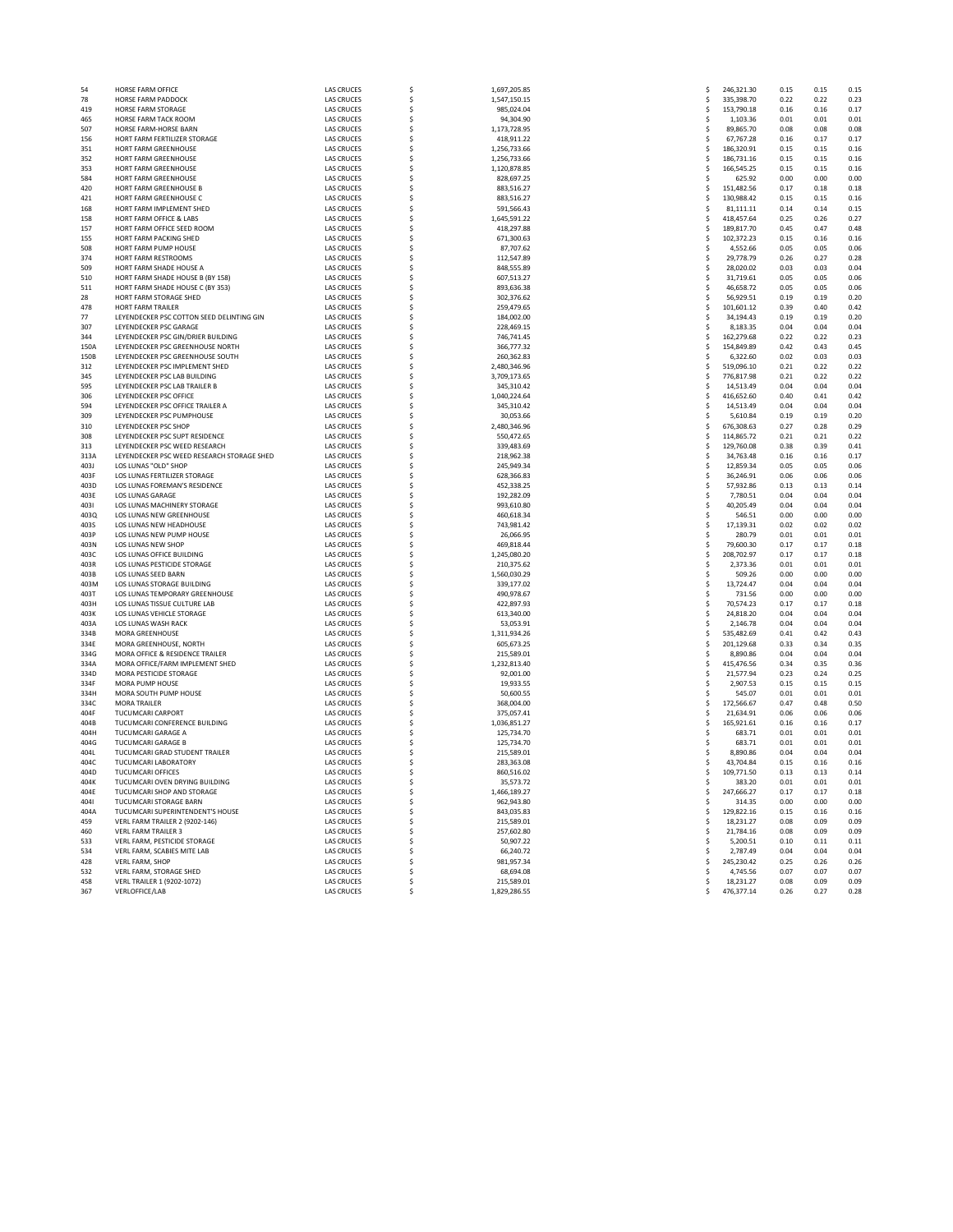| 54   | <b>HORSE FARM OFFICE</b>                           | <b>LAS CRUCES</b> | \$       | 1.697.205.85 | .s           | 246.321.30 | 0.15 | 0.15 | 0.15 |
|------|----------------------------------------------------|-------------------|----------|--------------|--------------|------------|------|------|------|
| 78   | HORSE FARM PADDOCK                                 | <b>LAS CRUCES</b> | \$       | 1.547.150.15 | Ś            | 335.398.70 | 0.22 | 0.22 | 0.25 |
| 419  | HORSE FARM STORAGE                                 | <b>LAS CRUCES</b> | \$       | 985,024.04   | Ś            | 153,790.18 | 0.16 | 0.16 | 0.17 |
| 465  | HORSE FARM TACK ROOM                               | <b>LAS CRUCES</b> | $\sf s$  | 94.304.90    | Ŝ            | 1.103.36   | 0.01 | 0.01 | 0.01 |
| 507  | HORSE FARM-HORSE BARN                              | <b>LAS CRUCES</b> | \$       | 1.173.728.95 | Ś            | 89.865.70  | 0.08 | 0.08 | 0.08 |
| 156  | HORT FARM FERTILIZER STORAGE                       | <b>LAS CRUCES</b> | \$       | 418,911.22   | Ś            | 67,767.28  | 0.16 | 0.17 | 0.17 |
| 351  | HORT FARM GREENHOUSE                               | <b>LAS CRUCES</b> | \$       | 1.256.733.66 | s            | 186.320.91 | 0.15 | 0.15 | 0.16 |
| 352  | HORT FARM GREENHOUSE                               | <b>LAS CRUCES</b> | \$       | 1,256,733.66 | \$           | 186,731.16 | 0.15 | 0.15 | 0.16 |
| 353  | <b>HORT FARM GREENHOUSE</b>                        | <b>LAS CRUCES</b> | \$       | 1,120,878.85 | <b>s</b>     | 166,545.25 | 0.15 | 0.15 | 0.16 |
| 584  | HORT FARM GREENHOUSE                               | <b>LAS CRUCES</b> | \$       | 828.697.25   | .S           | 625.92     | 0.00 | 0.00 | 0.00 |
| 420  | HORT FARM GREENHOUSE B                             | <b>LAS CRUCES</b> | \$       | 883,516.27   | \$           | 151,482.56 | 0.17 | 0.18 | 0.18 |
| 421  | HORT FARM GREENHOUSE C                             | <b>LAS CRUCES</b> | \$       | 883.516.27   | .s           | 130.988.42 | 0.15 | 0.15 | 0.16 |
| 168  | HORT FARM IMPLEMENT SHED                           | <b>LAS CRUCES</b> | \$       | 591.566.43   | .s           | 81,111.11  | 0.14 | 0.14 | 0.15 |
| 158  | HORT FARM OFFICE & LABS                            | <b>LAS CRUCES</b> | \$       | 1,645,591.22 | \$           | 418,457.64 | 0.25 | 0.26 | 0.27 |
| 157  |                                                    |                   | \$       |              |              |            | 0.45 | 0.47 | 0.48 |
|      | HORT FARM OFFICE SEED ROOM                         | <b>LAS CRUCES</b> |          | 418.297.88   | s            | 189.817.70 |      |      |      |
| 155  | HORT FARM PACKING SHED                             | <b>LAS CRUCES</b> | \$       | 671,300.63   | \$           | 102,372.23 | 0.15 | 0.16 | 0.16 |
| 508  | HORT FARM PUMP HOUSE                               | <b>LAS CRUCES</b> | \$       | 87,707.62    | \$           | 4,552.66   | 0.05 | 0.05 | 0.06 |
| 374  | HORT FARM RESTROOMS                                | <b>LAS CRUCES</b> | \$       | 112.547.89   | .s           | 29.778.79  | 0.26 | 0.27 | 0.28 |
| 509  | HORT FARM SHADE HOUSE A                            | <b>LAS CRUCES</b> | \$       | 848,555.89   | <sup>s</sup> | 28,020.02  | 0.03 | 0.03 | 0.04 |
| 510  | HORT FARM SHADE HOUSE B (BY 158)                   | <b>LAS CRUCES</b> | \$       | 607,513.27   | \$.          | 31,719.61  | 0.05 | 0.05 | 0.06 |
| 511  | HORT FARM SHADE HOUSE C (BY 353)                   | <b>LAS CRUCES</b> | \$       | 893.636.38   | <b>s</b>     | 46.658.72  | 0.05 | 0.05 | 0.06 |
| 28   | HORT FARM STORAGE SHED                             | <b>LAS CRUCES</b> | \$       | 302,376.62   | Ś            | 56,929.51  | 0.19 | 0.19 | 0.20 |
| 478  | <b>HORT FARM TRAILER</b>                           | <b>LAS CRUCES</b> | \$       | 259,479.65   | Ŝ            | 101,601.12 | 0.39 | 0.40 | 0.42 |
| 77   | LEYENDECKER PSC COTTON SEED DELINTING GIN          | <b>LAS CRUCES</b> | \$       | 184,002,00   | .s           | 34.194.43  | 0.19 | 0.19 | 0.20 |
| 307  | LEYENDECKER PSC GARAGE                             | <b>LAS CRUCES</b> | \$       | 228,469.15   | Ś            | 8,183.35   | 0.04 | 0.04 | 0.04 |
| 344  | LEYENDECKER PSC GIN/DRIER BUILDING                 | <b>LAS CRUCES</b> | \$       | 746,741.45   | Ŝ            | 162,279.68 | 0.22 | 0.22 | 0.23 |
| 150A | <b>LEYENDECKER PSC GREENHOUSE NORTH</b>            | <b>LAS CRUCES</b> | \$       | 366,777.32   | <b>s</b>     | 154.849.89 | 0.42 | 0.43 | 0.45 |
| 150B | LEYENDECKER PSC GREENHOUSE SOUTH                   | <b>LAS CRUCES</b> | \$       | 260.362.83   | S            | 6.322.60   | 0.02 | 0.03 | 0.03 |
|      | LEYENDECKER PSC IMPLEMENT SHED                     | <b>LAS CRUCES</b> |          |              |              | 519.096.10 | 0.21 | 0.22 | 0.22 |
| 312  |                                                    |                   | \$       | 2,480,346.96 | Ś            |            |      |      |      |
| 345  | LEYENDECKER PSC LAB BUILDING                       | <b>LAS CRUCES</b> | \$       | 3.709.173.65 | Ŝ            | 776.817.98 | 0.21 | 0.22 | 0.22 |
| 595  | LEYENDECKER PSC LAB TRAILER B                      | <b>LAS CRUCES</b> | \$       | 345,310.42   | \$           | 14,513.49  | 0.04 | 0.04 | 0.04 |
| 306  | LEYENDECKER PSC OFFICE                             | <b>LAS CRUCES</b> | \$       | 1.040.224.64 | <b>s</b>     | 416.652.60 | 0.40 | 0.41 | 0.42 |
| 594  | LEYENDECKER PSC OFFICE TRAILER A                   | <b>LAS CRUCES</b> | \$       | 345,310.42   | <sup>s</sup> | 14,513.49  | 0.04 | 0.04 | 0.04 |
| 309  | LEYENDECKER PSC PUMPHOUSE                          | <b>LAS CRUCES</b> | \$       | 30,053.66    | Ś            | 5,610.84   | 0.19 | 0.19 | 0.20 |
| 310  | <b>LEYENDECKER PSC SHOP</b>                        | <b>LAS CRUCES</b> | \$       | 2.480.346.96 | <b>s</b>     | 676.308.63 | 0.27 | 0.28 | 0.29 |
| 308  | LEYENDECKER PSC SUPT RESIDENCE                     | <b>LAS CRUCES</b> | \$       | 550,472.65   | Ś            | 114,865.72 | 0.21 | 0.21 | 0.22 |
| 313  | LEYENDECKER PSC WEED RESEARCH                      | <b>LAS CRUCES</b> | \$       | 339,483.69   | \$           | 129,760.08 | 0.38 | 0.39 | 0.41 |
| 313A | <b>I FYENDECKER PSC WEED RESEARCH STORAGE SHED</b> | <b>LAS CRUCES</b> | \$       | 218.962.38   | <b>s</b>     | 34.763.48  | 0.16 | 0.16 | 0.17 |
| 403J | LOS LUNAS "OLD" SHOP                               | <b>LAS CRUCES</b> | \$       | 245,949.34   | Ś            | 12.859.34  | 0.05 | 0.05 | 0.06 |
| 403F | LOS LUNAS FERTILIZER STORAGE                       | LAS CRUCES        | \$       | 628,366.83   | \$.          | 36,246.91  | 0.06 | 0.06 | 0.06 |
| 403D | <b>LOS LUNAS FOREMAN'S RESIDENCE</b>               | <b>LAS CRUCES</b> | \$       | 452.338.25   | <b>s</b>     | 57.932.86  | 0.13 | 0.13 | 0.14 |
| 403E | <b>LOS LUNAS GARAGE</b>                            | <b>LAS CRUCES</b> | \$       | 192,282.09   | Ŝ            | 7,780.51   | 0.04 | 0.04 | 0.04 |
| 4031 |                                                    |                   |          |              | Ś            |            | 0.04 | 0.04 | 0.04 |
|      | LOS LUNAS MACHINERY STORAGE                        | LAS CRUCES        | \$       | 993,610.80   |              | 40,205.49  |      |      |      |
| 4030 | <b>LOS LUNAS NEW GREENHOUSE</b>                    | <b>LAS CRUCES</b> | <b>S</b> | 460.618.34   | .s           | 546.51     | 0.00 | 0.00 | 0.00 |
| 403S | LOS LUNAS NEW HEADHOUSE                            | <b>LAS CRUCES</b> | \$       | 743.981.42   | Ŝ            | 17.139.31  | 0.02 | 0.02 | 0.02 |
| 403P | LOS LUNAS NEW PUMP HOUSE                           | <b>LAS CRUCES</b> | \$       | 26,066.95    | .s           | 280.79     | 0.01 | 0.01 | 0.01 |
| 403N | <b>LOS LUNAS NEW SHOP</b>                          | <b>LAS CRUCES</b> | \$       | 469.818.44   | Ŝ            | 79,600.30  | 0.17 | 0.17 | 0.18 |
| 403C | LOS LUNAS OFFICE BUILDING                          | <b>LAS CRUCES</b> | \$       | 1,245,080.20 | Ś            | 208.702.97 | 0.17 | 0.17 | 0.18 |
| 403R | LOS LUNAS PESTICIDE STORAGE                        | LAS CRUCES        | \$       | 210,375.62   | <sup>s</sup> | 2.373.36   | 0.01 | 0.01 | 0.01 |
| 403B | <b>LOS LUNAS SEED BARN</b>                         | <b>LAS CRUCES</b> | Ś        | 1.560.030.29 | Ś            | 509.26     | 0.00 | 0.00 | 0.00 |
| 403M | LOS LUNAS STORAGE BUILDING                         | <b>LAS CRUCES</b> | \$       | 339.177.02   | Ŝ            | 13.724.47  | 0.04 | 0.04 | 0.04 |
| 403T | LOS LUNAS TEMPORARY GREENHOUSE                     | <b>LAS CRUCES</b> | \$       | 490,978.67   | .s           | 731.56     | 0.00 | 0.00 | 0.00 |
| 403H | LOS LUNAS TISSUE CULTURE LAB                       | <b>LAS CRUCES</b> | Ś        | 422.897.93   | .s           | 70.574.23  | 0.17 | 0.17 | 0.18 |
| 403K | LOS LUNAS VEHICLE STORAGE                          | <b>LAS CRUCES</b> | Ś        | 613,340.00   | Ś            | 24.818.20  | 0.04 | 0.04 | 0.04 |
| 403A | LOS LUNAS WASH RACK                                | <b>LAS CRUCES</b> | \$       | 53,053.91    | Ś            | 2,146.78   | 0.04 | 0.04 | 0.04 |
| 334B | <b>MORA GREENHOUSE</b>                             | <b>LAS CRUCES</b> | Ś        | 1.311.934.26 | s            | 535.482.69 | 0.41 | 0.42 | 0.43 |
| 334E | MORA GREENHOUSE, NORTH                             | <b>LAS CRUCES</b> |          | 605.673.25   | Ś            | 201.129.68 | 0.33 | 0.34 | 0.35 |
|      |                                                    |                   | \$       |              |              |            |      |      |      |
| 334G | MORA OFFICE & RESIDENCE TRAILER                    | <b>LAS CRUCES</b> | \$       | 215,589.01   | <b>S</b>     | 8,890.86   | 0.04 | 0.04 | 0.04 |
| 334A | MORA OFFICE/FARM IMPLEMENT SHED                    | <b>LAS CRUCES</b> | \$       | 1.232.813.40 | s            | 415.476.56 | 0.34 | 0.35 | 0.36 |
| 334D | MORA PESTICIDE STORAGE                             | <b>LAS CRUCES</b> | Ś        | 92.001.00    | Ś            | 21.577.94  | 0.23 | 0.24 | 0.25 |
| 334F | MORA PUMP HOUSE                                    | <b>LAS CRUCES</b> | \$       | 19,933.55    | Ś            | 2,907.53   | 0.15 | 0.15 | 0.15 |
| 334H | MORA SOUTH PUMP HOUSE                              | <b>LAS CRUCES</b> | \$       | 50,600.55    | Ŝ            | 545.07     | 0.01 | 0.01 | 0.01 |
| 334C | <b>MORA TRAILER</b>                                | LAS CRUCES        | \$       | 368,004.00   | Ŝ            | 172.566.67 | 0.47 | 0.48 | 0.50 |
| 404F | <b>TUCUMCARI CARPORT</b>                           | <b>LAS CRUCES</b> | \$       | 375.057.41   | Ś            | 21.634.91  | 0.06 | 0.06 | 0.06 |
| 404B | TUCUMCARI CONFERENCE BUILDING                      | <b>LAS CRUCES</b> | \$       | 1,036,851.27 | Ś            | 165.921.61 | 0.16 | 0.16 | 0.17 |
| 404H | TUCUMCARI GARAGE A                                 | <b>LAS CRUCES</b> | \$       | 125,734.70   | <sup>s</sup> | 683.71     | 0.01 | 0.01 | 0.01 |
| 404G | <b>TUCUMCARI GARAGE B</b>                          | <b>LAS CRUCES</b> | Ś        | 125.734.70   | Ŝ            | 683.71     | 0.01 | 0.01 | 0.01 |
| 404L | TUCUMCARI GRAD STUDENT TRAILER                     | <b>LAS CRUCES</b> | \$       | 215.589.01   | Ś            | 8.890.86   | 0.04 | 0.04 | 0.04 |
| 404C | TUCUMCARLI ABORATORY                               | <b>LAS CRUCES</b> | \$       | 283,363.08   | <sup>s</sup> | 43,704.84  | 0.15 | 0.16 | 0.16 |
| 404D | <b>TUCUMCARI OFFICES</b>                           | <b>LAS CRUCES</b> | Ś        | 860.516.02   | s            | 109.771.50 | 0.13 | 0.13 | 0.14 |
| 404K | TUCUMCARI OVEN DRYING BUILDING                     | <b>LAS CRUCES</b> | Ś        | 35.573.72    | Ś            | 383.20     | 0.01 | 0.01 | 0.01 |
| 40AF | TUCUMCARI SHOP AND STORAGE                         | <b>LAS CRUCES</b> | \$       |              | Ś            | 247,666.27 | 0.17 | 0.17 | 0.18 |
|      |                                                    |                   | $\sf s$  | 1,466,189.27 |              |            |      |      |      |
| 4041 | <b>TUCUMCARI STORAGE BARN</b>                      | <b>LAS CRUCES</b> |          | 962.943.80   | Ŝ            | 314.35     | 0.00 | 0.00 | 0.00 |
| 404A | TUCUMCARI SUPERINTENDENT'S HOUSE                   | <b>LAS CRUCES</b> | \$       | 843.035.83   | Ś            | 129.822.16 | 0.15 | 0.16 | 0.16 |
| 459  | VERL FARM TRAILER 2 (9202-146)                     | <b>LAS CRUCES</b> | \$       | 215,589.01   | Ś            | 18,231.27  | 0.08 | 0.09 | 0.09 |
| 460  | <b>VERL FARM TRAILER 3</b>                         | <b>LAS CRUCES</b> | \$       | 257.602.80   | Ŝ            | 21.784.16  | 0.08 | 0.09 | 0.09 |
| 533  | VERL FARM, PESTICIDE STORAGE                       | <b>LAS CRUCES</b> | \$       | 50,907.22    | \$           | 5,200.51   | 0.10 | 0.11 | 0.11 |
| 534  | VERL FARM, SCABIES MITE LAB                        | <b>LAS CRUCES</b> | .s       | 66,240.72    | .s           | 2,787.49   | 0.04 | 0.04 | 0.04 |
| 428  | <b>VERL FARM, SHOP</b>                             | <b>LAS CRUCES</b> | \$       | 981.957.34   | \$.          | 245.230.42 | 0.25 | 0.26 | 0.26 |
| 532  | VERL FARM, STORAGE SHED                            | <b>LAS CRUCES</b> | \$       | 68,694.08    |              | 4,745.56   | 0.07 | 0.07 | 0.07 |
| 458  | VERL TRAILER 1 (9202-1072)                         | <b>LAS CRUCES</b> | Š.       | 215.589.01   | S.           | 18.231.27  | 0.08 | 0.09 | 0.09 |
| 367  | <b>VERLOFFICE/LAB</b>                              | <b>LAS CRUCES</b> |          | 1.829.286.55 | Š.           | 476.377.14 | 0.26 | 0.27 | 0.28 |
|      |                                                    |                   |          |              |              |            |      |      |      |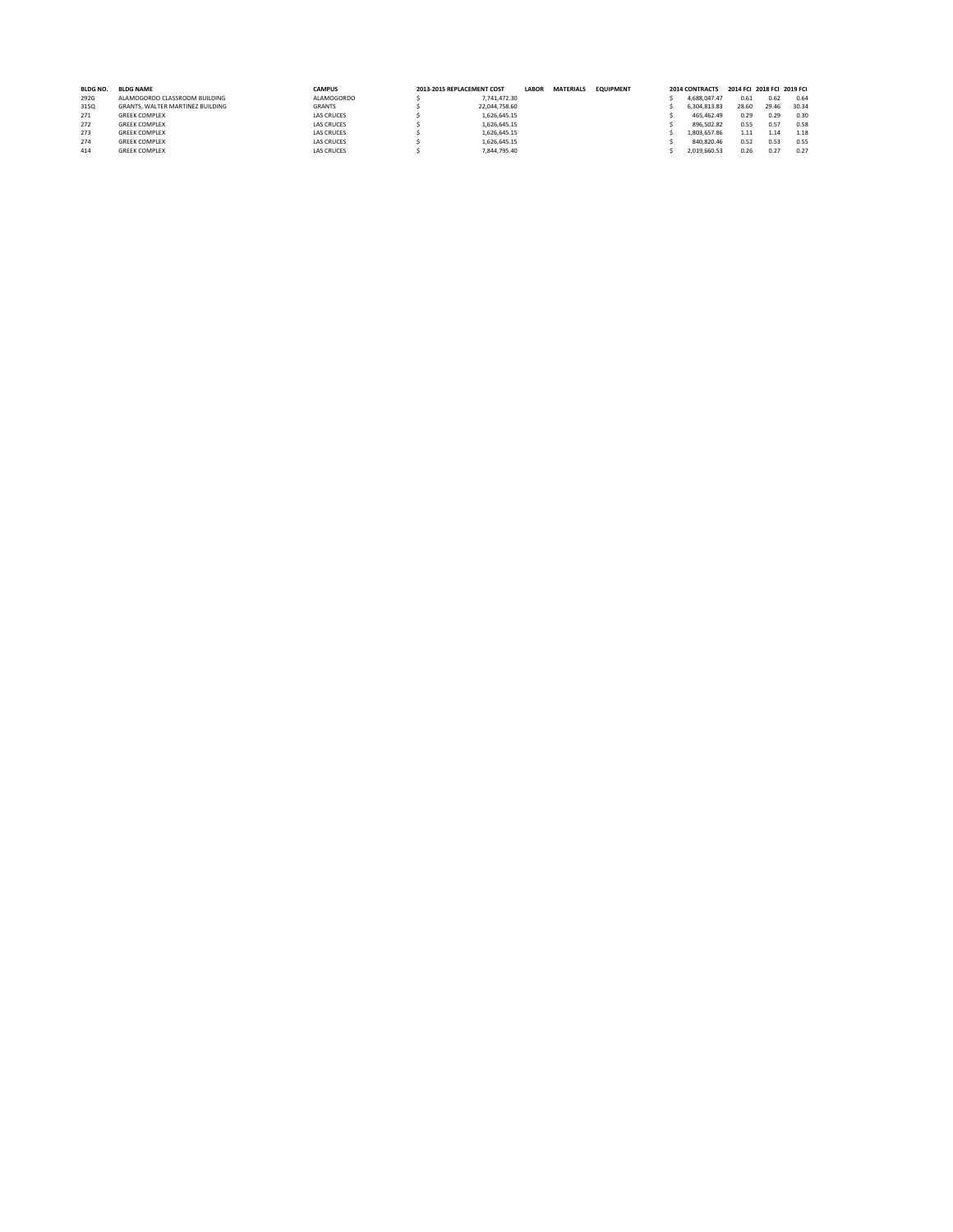| <b>BLDG NO.</b> | <b>BLDG NAME</b>                 | <b>CAMPUS</b>     | 2013-2015 REPLACEMENT COST |               | <b>LABOR</b> | <b>MATERIALS</b> | <b>EQUIPMENT</b> | 2014 CONTRACTS | 2014 FCI 2018 FCI 2019 FCI |       |       |
|-----------------|----------------------------------|-------------------|----------------------------|---------------|--------------|------------------|------------------|----------------|----------------------------|-------|-------|
| 292G            | ALAMOGORDO CLASSROOM BUILDING    | ALAMOGORDO        |                            | 7.741.472.30  |              |                  |                  | 4.688.047.47   | 0.61                       | 0.62  | 0.64  |
| 3150            | GRANTS, WALTER MARTINEZ BUILDING | <b>GRANTS</b>     |                            | 22.044.758.60 |              |                  |                  | 6.304.813.83   | 28.60                      | 29.46 | 30.34 |
| 271             | <b>GREEK COMPLEX</b>             | <b>LAS CRUCES</b> |                            | 1.626.645.15  |              |                  |                  | 465.462.49     | 0.29                       | 0.29  | 0.30  |
| 272             | <b>GREEK COMPLEX</b>             | <b>LAS CRUCES</b> |                            | 1.626.645.15  |              |                  |                  | 896.502.82     | 0.55                       | 0.57  | 0.58  |
| 273             | <b>GREEK COMPLEX</b>             | <b>LAS CRUCES</b> |                            | 1.626.645.15  |              |                  |                  | 1.803.657.86   | 1.11                       | 1.14  | 1.18  |
| 274             | <b>GREEK COMPLEX</b>             | <b>LAS CRUCES</b> |                            | 1.626.645.15  |              |                  |                  | 840.820.46     | 0.52                       | 0.53  | 0.55  |
| 414             | <b>GREEK COMPLEX</b>             | <b>LAS CRUCES</b> |                            | 7.844.795.40  |              |                  |                  | 2.019.660.53   | 0.26                       | 0.27  | 0.27  |
|                 |                                  |                   |                            |               |              |                  |                  |                |                            |       |       |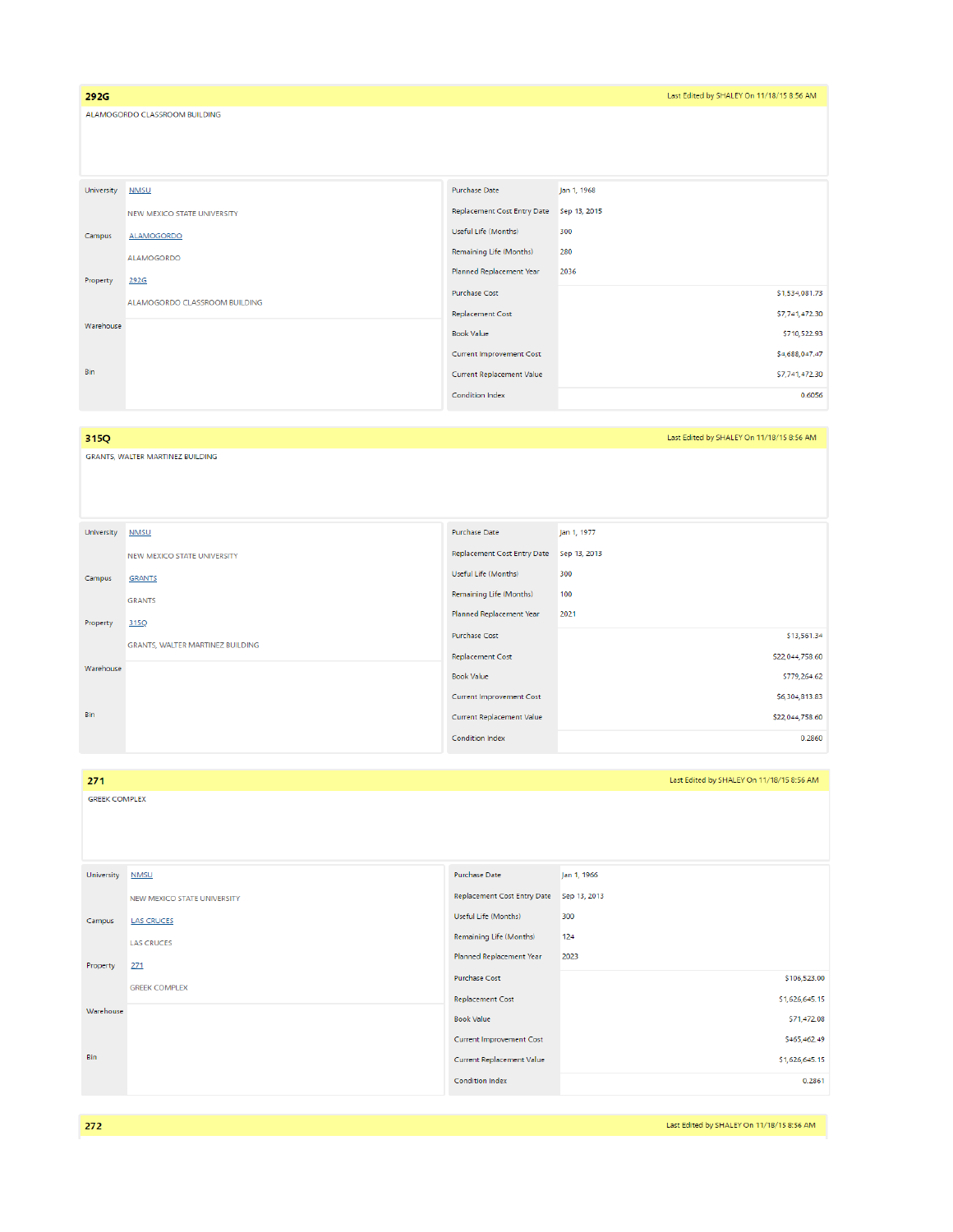| 292G       |                               |                                    | Last Edited by SHALEY On 11/18/15 8:56 AM |  |  |  |  |
|------------|-------------------------------|------------------------------------|-------------------------------------------|--|--|--|--|
|            | ALAMOGORDO CLASSROOM BUILDING |                                    |                                           |  |  |  |  |
|            |                               |                                    |                                           |  |  |  |  |
|            |                               |                                    |                                           |  |  |  |  |
|            |                               | <b>Purchase Date</b>               | Jan 1, 1968                               |  |  |  |  |
| University | <b>NMSU</b>                   |                                    |                                           |  |  |  |  |
|            | NEW MEXICO STATE UNIVERSITY   | <b>Replacement Cost Entry Date</b> | Sep 13, 2015                              |  |  |  |  |
| Campus     | <b>ALAMOGORDO</b>             | Useful Life (Months)               | 300                                       |  |  |  |  |
|            | ALAMOGORDO                    | <b>Remaining Life (Months)</b>     | 280                                       |  |  |  |  |
| Property   | 292G                          | Planned Replacement Year           | 2036                                      |  |  |  |  |
|            |                               | <b>Purchase Cost</b>               | \$1,534,081.73                            |  |  |  |  |
|            | ALAMOGORDO CLASSROOM BUILDING | <b>Replacement Cost</b>            | \$7,741,472.30                            |  |  |  |  |
| Warehouse  |                               | <b>Book Value</b>                  | \$710,522.93                              |  |  |  |  |
|            |                               | <b>Current Improvement Cost</b>    | \$4,688,047.47                            |  |  |  |  |
| Bin        |                               | <b>Current Replacement Value</b>   | \$7,741,472.30                            |  |  |  |  |
|            |                               | <b>Condition Index</b>             | 0.6056                                    |  |  |  |  |

## 315Q

GRANTS, WALTER MARTINEZ BUILDING

| University | <b>NMSU</b>                      | <b>Purchase Date</b>                     | Jan 1, 1977     |
|------------|----------------------------------|------------------------------------------|-----------------|
|            | NEW MEXICO STATE UNIVERSITY      | Replacement Cost Entry Date Sep 13, 2013 |                 |
| Campus     | <b>GRANTS</b>                    | Useful Life (Months)                     | 300             |
|            | <b>GRANTS</b>                    | Remaining Life (Months)                  | 100             |
| Property   | 315Q                             | Planned Replacement Year                 | 2021            |
|            | GRANTS, WALTER MARTINEZ BUILDING | <b>Purchase Cost</b>                     | \$13,561.34     |
|            |                                  | <b>Replacement Cost</b>                  | \$22,044,758.60 |
| Warehouse  |                                  | <b>Book Value</b>                        | \$779,264.62    |
|            |                                  | <b>Current Improvement Cost</b>          | \$6,304,813.83  |
| Bin        |                                  | <b>Current Replacement Value</b>         | \$22,044,758.60 |
|            |                                  | Condition Index                          | 0.2860          |

| 271        | Last Edited by SHALEY On 11/18/15 8:56 AM |                                    |                |  |  |  |  |
|------------|-------------------------------------------|------------------------------------|----------------|--|--|--|--|
|            | <b>GREEK COMPLEX</b>                      |                                    |                |  |  |  |  |
|            |                                           |                                    |                |  |  |  |  |
|            |                                           |                                    |                |  |  |  |  |
| University | <b>NMSU</b>                               | <b>Purchase Date</b>               | Jan 1, 1966    |  |  |  |  |
|            | NEW MEXICO STATE UNIVERSITY               | <b>Replacement Cost Entry Date</b> | Sep 13, 2013   |  |  |  |  |
| Campus     | <b>LAS CRUCES</b>                         | Useful Life (Months)               | 300            |  |  |  |  |
|            | <b>LAS CRUCES</b>                         | Remaining Life (Months)            | 124            |  |  |  |  |
| Property   | 271                                       | Planned Replacement Year           | 2023           |  |  |  |  |
|            | <b>GREEK COMPLEX</b>                      | <b>Purchase Cost</b>               | \$106,523.00   |  |  |  |  |
| Warehouse  |                                           | <b>Replacement Cost</b>            | \$1,626,645.15 |  |  |  |  |
|            |                                           | <b>Book Value</b>                  | \$71,472.08    |  |  |  |  |
|            |                                           | <b>Current Improvement Cost</b>    | \$465,462.49   |  |  |  |  |
| Bin        |                                           | Current Replacement Value          | \$1,626,645.15 |  |  |  |  |
|            |                                           | Condition Index                    | 0.2861         |  |  |  |  |

Last Edited by SHALEY On 11/18/15 8:56 AM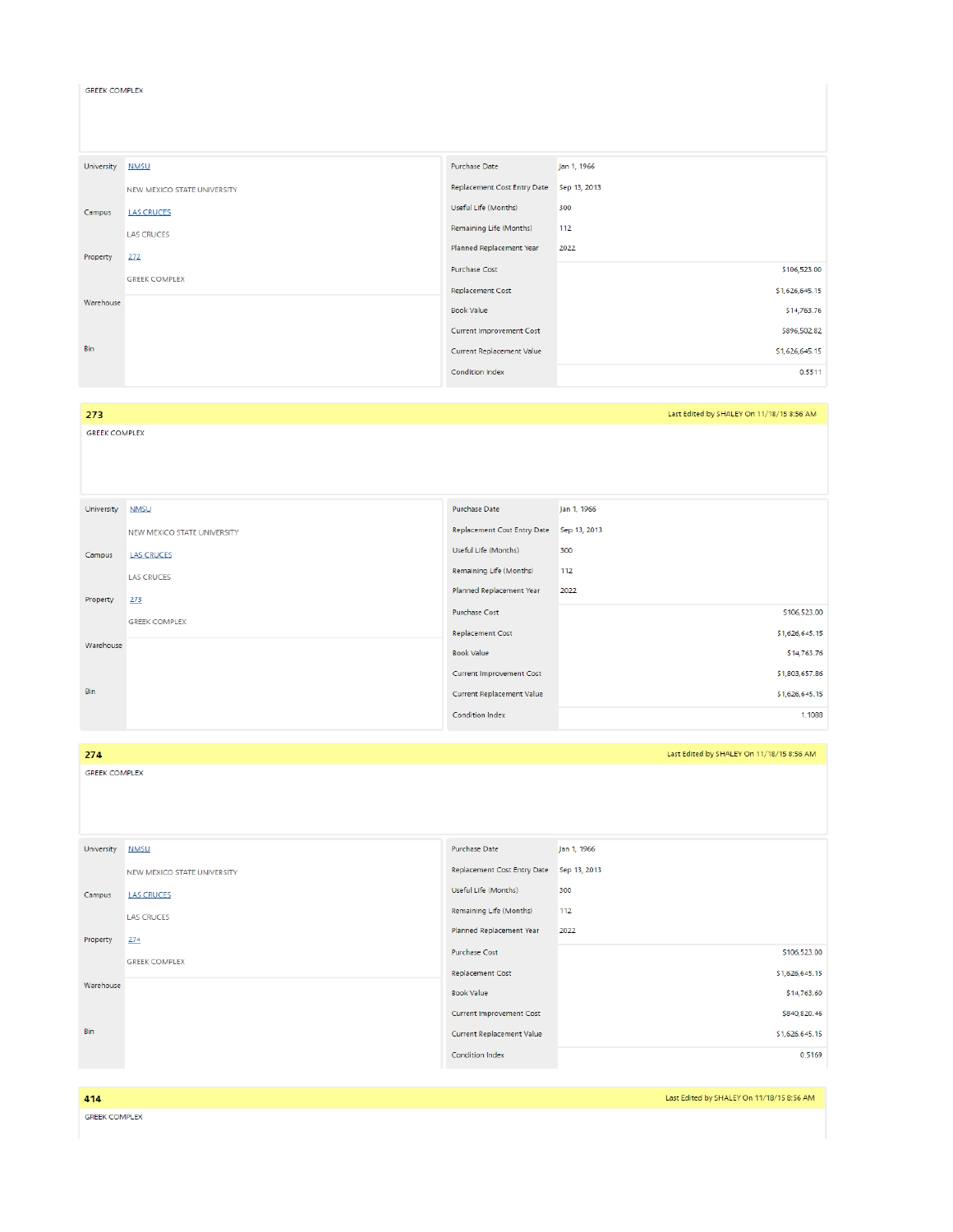| University | <b>NMSU</b>                 | <b>Purchase Date</b>               | Jan 1, 1966    |
|------------|-----------------------------|------------------------------------|----------------|
|            | NEW MEXICO STATE UNIVERSITY | <b>Replacement Cost Entry Date</b> | Sep 13, 2013   |
| Campus     | <b>LAS CRUCES</b>           | Useful Life (Months)               | 300            |
|            | <b>LAS CRUCES</b>           | Remaining Life (Months)            | 112            |
| Property   | 272                         | Planned Replacement Year           | 2022           |
|            | <b>GREEK COMPLEX</b>        | <b>Purchase Cost</b>               | \$106,523.00   |
|            |                             | <b>Replacement Cost</b>            | \$1,626,645.15 |
| Warehouse  |                             | <b>Book Value</b>                  | \$14,763.76    |
|            |                             | <b>Current Improvement Cost</b>    | \$896,502.82   |
| Bin        |                             | Current Replacement Value          | \$1,626,645.15 |
|            |                             | Condition Index                    | 0.5511         |

## 273

Bin

GREEK COMPLEX

**GREEK COMPLEX** 

University <u>NMSU</u> Purchase Date Jan 1, 1966 NEW MEXICO STATE UNIVERSITY Replacement Cost Entry Date Sep 13, 2013 Useful Life (Months) 300 Campus LAS CRUCES Remaining Life (Months) 112 LAS CRUCES Planned Replacement Year 2022 Property 273 Purchase Cost \$106,523.00 **GREEK COMPLEX** Replacement Cost \$1,626,645.15 Warehouse Book Value \$14,763.76 \$1,803,657.86 Current Improvement Cost

Current Replacement Value

Condition Index

Last Edited by SHALEY On 11/18/15 8:56 AM

\$1,626,645.15 1.1088

| 274                  |                             |                                    | Last Edited by SHALEY On 11/18/15 8:56 AM |
|----------------------|-----------------------------|------------------------------------|-------------------------------------------|
| <b>GREEK COMPLEX</b> |                             |                                    |                                           |
|                      |                             |                                    |                                           |
|                      |                             |                                    |                                           |
|                      |                             |                                    |                                           |
| University           | <b>NMSU</b>                 | Purchase Date                      | Jan 1, 1966                               |
|                      | NEW MEXICO STATE UNIVERSITY | <b>Replacement Cost Entry Date</b> | Sep 13, 2013                              |
| Campus               | <b>LAS CRUCES</b>           | Useful Life (Months)               | 300                                       |
|                      | <b>LAS CRUCES</b>           | Remaining Life (Months)            | 112                                       |
| Property             | 274                         | Planned Replacement Year           | 2022                                      |
|                      | <b>GREEK COMPLEX</b>        | <b>Purchase Cost</b>               | \$106,523.00                              |
|                      |                             | <b>Replacement Cost</b>            | \$1,626,645.15                            |
| Warehouse            |                             | <b>Book Value</b>                  | \$14,763.60                               |
|                      |                             | <b>Current Improvement Cost</b>    | \$840,820.46                              |
| Bin                  |                             | <b>Current Replacement Value</b>   | \$1,626,645.15                            |
|                      |                             | Condition Index                    | 0.5169                                    |
|                      |                             |                                    |                                           |

| 414                  | Last Edited by SHALEY On 11/18/15 8:56 AM |
|----------------------|-------------------------------------------|
| <b>GREEK COMPLEX</b> |                                           |